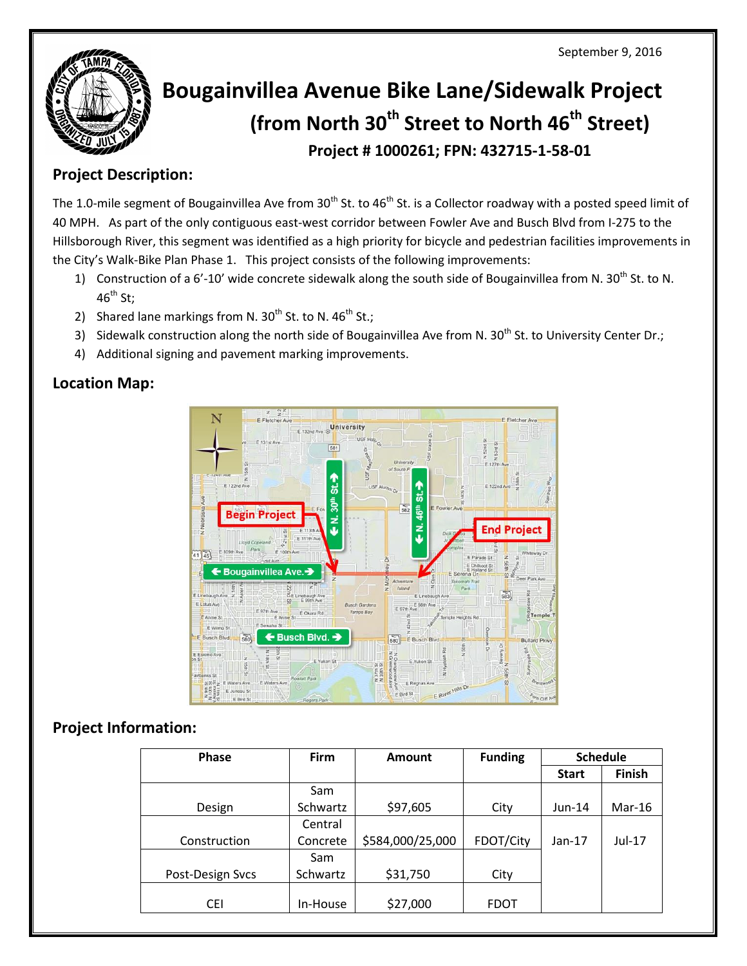September 9, 2016



# **Bougainvillea Avenue Bike Lane/Sidewalk Project (from North 30th Street to North 46th Street) Project # 1000261; FPN: 432715-1-58-01**

### **Project Description:**

The 1.0-mile segment of Bougainvillea Ave from  $30^{th}$  St. to 46<sup>th</sup> St. is a Collector roadway with a posted speed limit of 40 MPH. As part of the only contiguous east‐west corridor between Fowler Ave and Busch Blvd from I‐275 to the Hillsborough River, this segment was identified as a high priority for bicycle and pedestrian facilities improvements in the City's Walk-Bike Plan Phase 1. This project consists of the following improvements:

- 1) Construction of a 6'-10' wide concrete sidewalk along the south side of Bougainvillea from N. 30<sup>th</sup> St. to N.  $46^{\text{th}}$  St:
- 2) Shared lane markings from N.  $30^{th}$  St. to N.  $46^{th}$  St.;
- 3) Sidewalk construction along the north side of Bougainvillea Ave from N. 30<sup>th</sup> St. to University Center Dr.;
- 4) Additional signing and pavement marking improvements.

#### **Location Map:**



### **Project Information:**

| <b>Phase</b>     | <b>Firm</b> | Amount           | <b>Funding</b> | <b>Schedule</b> |          |
|------------------|-------------|------------------|----------------|-----------------|----------|
|                  |             |                  |                | <b>Start</b>    | Finish   |
|                  | Sam         |                  |                |                 |          |
| Design           | Schwartz    | \$97,605         | City           | $Jun-14$        | $Mar-16$ |
|                  | Central     |                  |                |                 |          |
| Construction     | Concrete    | \$584,000/25,000 | FDOT/City      | $Jan-17$        | $Jul-17$ |
|                  | Sam         |                  |                |                 |          |
| Post-Design Svcs | Schwartz    | \$31,750         | City           |                 |          |
|                  |             |                  |                |                 |          |
| <b>CEI</b>       | In-House    | \$27,000         | <b>FDOT</b>    |                 |          |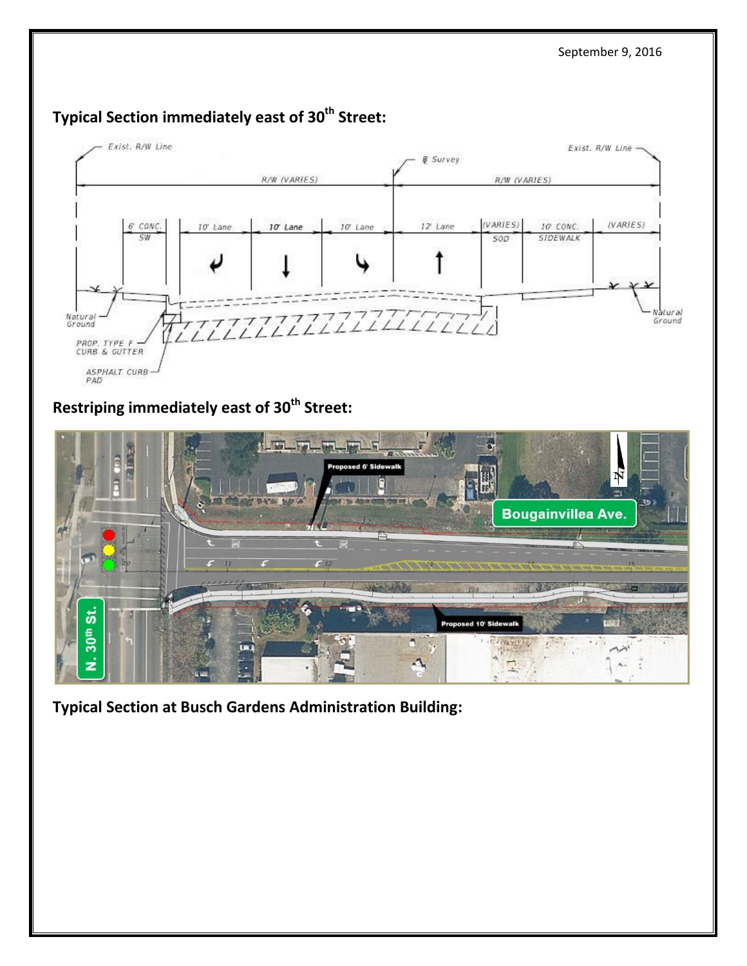

## **Typical Section immediately east of 30th Street:**

**Restriping immediately east of 30th Street:**



**Typical Section at Busch Gardens Administration Building:**